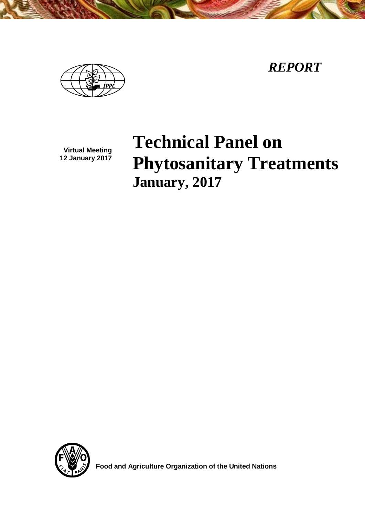*REPORT*



**Virtual Meeting 12 January 2017**

# **Technical Panel on Phytosanitary Treatments January, 2017**



 **Food and Agriculture Organization of the United Nations**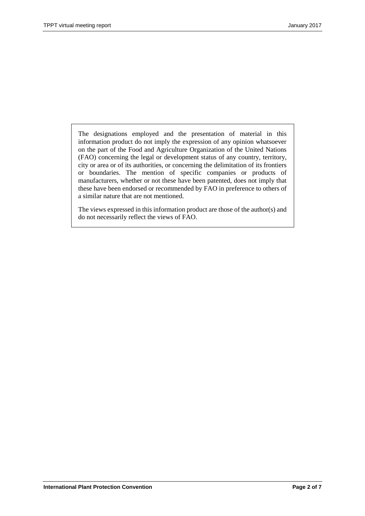The designations employed and the presentation of material in this information product do not imply the expression of any opinion whatsoever on the part of the Food and Agriculture Organization of the United Nations (FAO) concerning the legal or development status of any country, territory, city or area or of its authorities, or concerning the delimitation of its frontiers or boundaries. The mention of specific companies or products of manufacturers, whether or not these have been patented, does not imply that these have been endorsed or recommended by FAO in preference to others of a similar nature that are not mentioned.

The views expressed in this information product are those of the author(s) and do not necessarily reflect the views of FAO.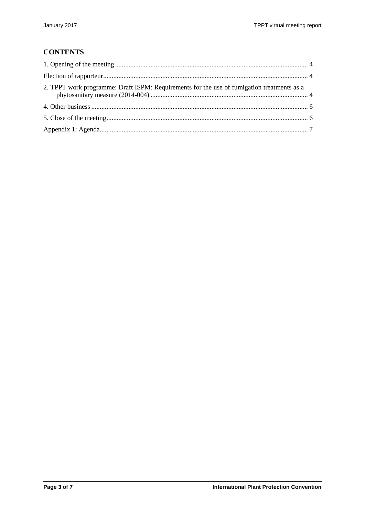# **CONTENTS**

| 2. TPPT work programme: Draft ISPM: Requirements for the use of fumigation treatments as a |  |
|--------------------------------------------------------------------------------------------|--|
|                                                                                            |  |
|                                                                                            |  |
|                                                                                            |  |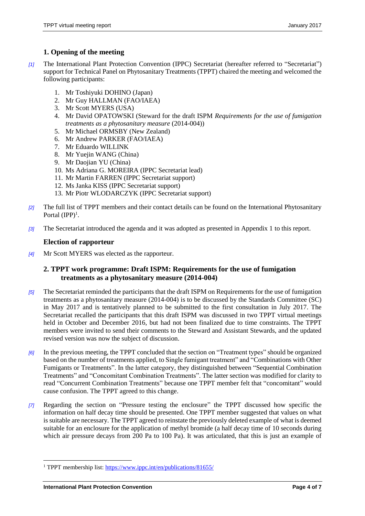# <span id="page-3-0"></span>**1. Opening of the meeting**

- *[1]* The International Plant Protection Convention (IPPC) Secretariat (hereafter referred to "Secretariat") support for Technical Panel on Phytosanitary Treatments (TPPT) chaired the meeting and welcomed the following participants:
	- 1. Mr Toshiyuki DOHINO (Japan)
	- 2. Mr Guy HALLMAN (FAO/IAEA)
	- 3. Mr Scott MYERS (USA)
	- 4. Mr David OPATOWSKI (Steward for the draft ISPM *Requirements for the use of fumigation treatments as a phytosanitary measure* (2014-004))
	- 5. Mr Michael ORMSBY (New Zealand)
	- 6. Mr Andrew PARKER (FAO/IAEA)
	- 7. Mr Eduardo WILLINK
	- 8. Mr Yuejin WANG (China)
	- 9. Mr Daojian YU (China)
	- 10. Ms Adriana G. MOREIRA (IPPC Secretariat lead)
	- 11. Mr Martin FARREN (IPPC Secretariat support)
	- 12. Ms Janka KISS (IPPC Secretariat support)
	- 13. Mr Piotr WLODARCZYK (IPPC Secretariat support)
- *[2]* The full list of TPPT members and their contact details can be found on the International Phytosanitary Portal  $(IPP)^1$ .
- *[3]* The Secretariat introduced the agenda and it was adopted as presented in Appendix 1 to this report.

# <span id="page-3-1"></span>**Election of rapporteur**

*[4]* Mr Scott MYERS was elected as the rapporteur.

# <span id="page-3-2"></span>**2. TPPT work programme: Draft ISPM: Requirements for the use of fumigation treatments as a phytosanitary measure (2014-004)**

- *[5]* The Secretariat reminded the participants that the draft ISPM on Requirements for the use of fumigation treatments as a phytosanitary measure (2014-004) is to be discussed by the Standards Committee (SC) in May 2017 and is tentatively planned to be submitted to the first consultation in July 2017. The Secretariat recalled the participants that this draft ISPM was discussed in two TPPT virtual meetings held in October and December 2016, but had not been finalized due to time constraints. The TPPT members were invited to send their comments to the Steward and Assistant Stewards, and the updated revised version was now the subject of discussion.
- *[6]* In the previous meeting, the TPPT concluded that the section on "Treatment types" should be organized based on the number of treatments applied, to Single fumigant treatment" and "Combinations with Other Fumigants or Treatments". In the latter category, they distinguished between "Sequential Combination Treatments" and "Concomitant Combination Treatments". The latter section was modified for clarity to read "Concurrent Combination Treatments" because one TPPT member felt that "concomitant" would cause confusion. The TPPT agreed to this change.
- *[7]* Regarding the section on "Pressure testing the enclosure" the TPPT discussed how specific the information on half decay time should be presented. One TPPT member suggested that values on what is suitable are necessary. The TPPT agreed to reinstate the previously deleted example of what is deemed suitable for an enclosure for the application of methyl bromide (a half decay time of 10 seconds during which air pressure decays from 200 Pa to 100 Pa). It was articulated, that this is just an example of

 $\overline{a}$ 

<sup>&</sup>lt;sup>1</sup> TPPT membership list: https://www.ippc.int/en/publications/81655/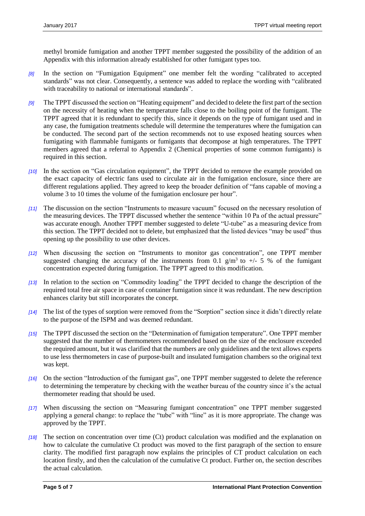methyl bromide fumigation and another TPPT member suggested the possibility of the addition of an Appendix with this information already established for other fumigant types too.

- *[8]* In the section on "Fumigation Equipment" one member felt the wording "calibrated to accepted standards" was not clear. Consequently, a sentence was added to replace the wording with "calibrated with traceability to national or international standards".
- *[9]* The TPPT discussed the section on "Heating equipment" and decided to delete the first part of the section on the necessity of heating when the temperature falls close to the boiling point of the fumigant. The TPPT agreed that it is redundant to specify this, since it depends on the type of fumigant used and in any case, the fumigation treatments schedule will determine the temperatures where the fumigation can be conducted. The second part of the section recommends not to use exposed heating sources when fumigating with flammable fumigants or fumigants that decompose at high temperatures. The TPPT members agreed that a referral to Appendix 2 (Chemical properties of some common fumigants) is required in this section.
- *[10]* In the section on "Gas circulation equipment", the TPPT decided to remove the example provided on the exact capacity of electric fans used to circulate air in the fumigation enclosure, since there are different regulations applied. They agreed to keep the broader definition of "fans capable of moving a volume 3 to 10 times the volume of the fumigation enclosure per hour".
- *[11]* The discussion on the section "Instruments to measure vacuum" focused on the necessary resolution of the measuring devices. The TPPT discussed whether the sentence "within 10 Pa of the actual pressure" was accurate enough. Another TPPT member suggested to delete "U-tube" as a measuring device from this section. The TPPT decided not to delete, but emphasized that the listed devices "may be used" thus opening up the possibility to use other devices.
- *[12]* When discussing the section on "Instruments to monitor gas concentration", one TPPT member suggested changing the accuracy of the instruments from 0.1 g/m<sup>3</sup> to +/- 5 % of the fumigant concentration expected during fumigation. The TPPT agreed to this modification.
- *[13]* In relation to the section on "Commodity loading" the TPPT decided to change the description of the required total free air space in case of container fumigation since it was redundant. The new description enhances clarity but still incorporates the concept.
- *[14]* The list of the types of sorption were removed from the "Sorption" section since it didn't directly relate to the purpose of the ISPM and was deemed redundant.
- *[15]* The TPPT discussed the section on the "Determination of fumigation temperature". One TPPT member suggested that the number of thermometers recommended based on the size of the enclosure exceeded the required amount, but it was clarified that the numbers are only guidelines and the text allows experts to use less thermometers in case of purpose-built and insulated fumigation chambers so the original text was kept.
- *[16]* On the section "Introduction of the fumigant gas", one TPPT member suggested to delete the reference to determining the temperature by checking with the weather bureau of the country since it's the actual thermometer reading that should be used.
- *[17]* When discussing the section on "Measuring fumigant concentration" one TPPT member suggested applying a general change: to replace the "tube" with "line" as it is more appropriate. The change was approved by the TPPT.
- *[18]* The section on concentration over time (Ct) product calculation was modified and the explanation on how to calculate the cumulative Ct product was moved to the first paragraph of the section to ensure clarity. The modified first paragraph now explains the principles of CT product calculation on each location firstly, and then the calculation of the cumulative Ct product. Further on, the section describes the actual calculation.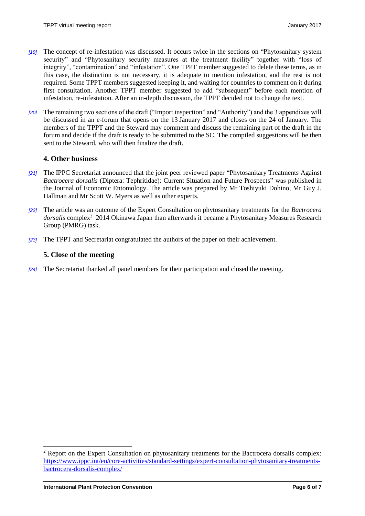- *[19]* The concept of re-infestation was discussed. It occurs twice in the sections on "Phytosanitary system security" and "Phytosanitary security measures at the treatment facility" together with "loss of integrity", "contamination" and "infestation". One TPPT member suggested to delete these terms, as in this case, the distinction is not necessary, it is adequate to mention infestation, and the rest is not required. Some TPPT members suggested keeping it, and waiting for countries to comment on it during first consultation. Another TPPT member suggested to add "subsequent" before each mention of infestation, re-infestation. After an in-depth discussion, the TPPT decided not to change the text.
- *[20]* The remaining two sections of the draft ("Import inspection" and "Authority") and the 3 appendixes will be discussed in an e-forum that opens on the 13 January 2017 and closes on the 24 of January. The members of the TPPT and the Steward may comment and discuss the remaining part of the draft in the forum and decide if the draft is ready to be submitted to the SC. The compiled suggestions will be then sent to the Steward, who will then finalize the draft.

#### <span id="page-5-0"></span>**4. Other business**

- *[21]* The IPPC Secretariat announced that the joint peer reviewed paper "Phytosanitary Treatments Against *Bactrocera dorsalis* (Diptera: Tephritidae): Current Situation and Future Prospects" was published in the Journal of Economic Entomology. The article was prepared by Mr Toshiyuki Dohino, Mr Guy J. Hallman and Mr Scott W. Myers as well as other experts.
- *[22]* The article was an outcome of the Expert Consultation on phytosanitary treatments for the *Bactrocera*  dorsalis complex<sup>2</sup> 2014 Okinawa Japan than afterwards it became a Phytosanitary Measures Research Group (PMRG) task.
- *[23]* The TPPT and Secretariat congratulated the authors of the paper on their achievement.

#### <span id="page-5-1"></span>**5. Close of the meeting**

*[24]* The Secretariat thanked all panel members for their participation and closed the meeting.

l

<sup>2</sup> Report on the Expert Consultation on phytosanitary treatments for the Bactrocera dorsalis complex: [https://www.ippc.int/en/core-activities/standard-settings/expert-consultation-phytosanitary-treatments](https://www.ippc.int/en/core-activities/standard-settings/expert-consultation-phytosanitary-treatments-bactrocera-dorsalis-complex/)[bactrocera-dorsalis-complex/](https://www.ippc.int/en/core-activities/standard-settings/expert-consultation-phytosanitary-treatments-bactrocera-dorsalis-complex/)